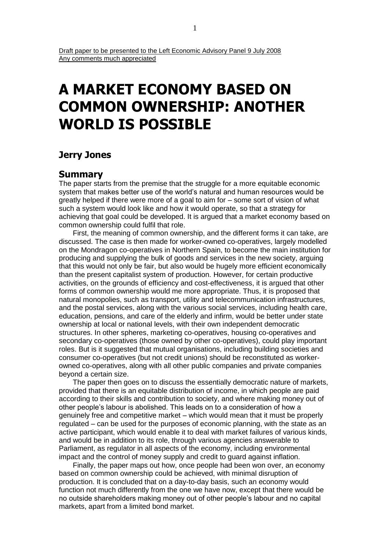# **A MARKET ECONOMY BASED ON COMMON OWNERSHIP: ANOTHER WORLD IS POSSIBLE**

# **Jerry Jones**

## **Summary**

The paper starts from the premise that the struggle for a more equitable economic system that makes better use of the world's natural and human resources would be greatly helped if there were more of a goal to aim for – some sort of vision of what such a system would look like and how it would operate, so that a strategy for achieving that goal could be developed. It is argued that a market economy based on common ownership could fulfil that role.

First, the meaning of common ownership, and the different forms it can take, are discussed. The case is then made for worker-owned co-operatives, largely modelled on the Mondragon co-operatives in Northern Spain, to become the main institution for producing and supplying the bulk of goods and services in the new society, arguing that this would not only be fair, but also would be hugely more efficient economically than the present capitalist system of production. However, for certain productive activities, on the grounds of efficiency and cost-effectiveness, it is argued that other forms of common ownership would me more appropriate. Thus, it is proposed that natural monopolies, such as transport, utility and telecommunication infrastructures, and the postal services, along with the various social services, including health care, education, pensions, and care of the elderly and infirm, would be better under state ownership at local or national levels, with their own independent democratic structures. In other spheres, marketing co-operatives, housing co-operatives and secondary co-operatives (those owned by other co-operatives), could play important roles. But is it suggested that mutual organisations, including building societies and consumer co-operatives (but not credit unions) should be reconstituted as workerowned co-operatives, along with all other public companies and private companies beyond a certain size.

The paper then goes on to discuss the essentially democratic nature of markets, provided that there is an equitable distribution of income, in which people are paid according to their skills and contribution to society, and where making money out of other people's labour is abolished. This leads on to a consideration of how a genuinely free and competitive market – which would mean that it must be properly regulated – can be used for the purposes of economic planning, with the state as an active participant, which would enable it to deal with market failures of various kinds, and would be in addition to its role, through various agencies answerable to Parliament, as regulator in all aspects of the economy, including environmental impact and the control of money supply and credit to guard against inflation.

Finally, the paper maps out how, once people had been won over, an economy based on common ownership could be achieved, with minimal disruption of production. It is concluded that on a day-to-day basis, such an economy would function not much differently from the one we have now, except that there would be no outside shareholders making money out of other people's labour and no capital markets, apart from a limited bond market.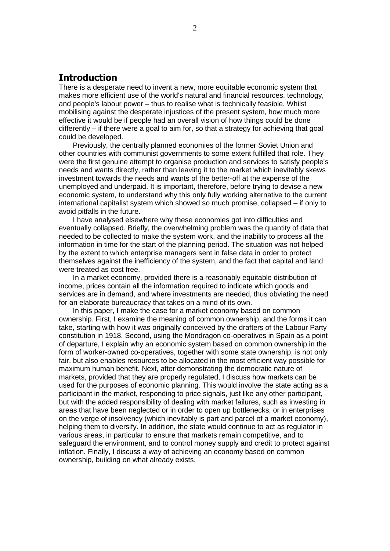# **Introduction**

There is a desperate need to invent a new, more equitable economic system that makes more efficient use of the world's natural and financial resources, technology, and people's labour power – thus to realise what is technically feasible. Whilst mobilising against the desperate injustices of the present system, how much more effective it would be if people had an overall vision of how things could be done differently – if there were a goal to aim for, so that a strategy for achieving that goal could be developed.

Previously, the centrally planned economies of the former Soviet Union and other countries with communist governments to some extent fulfilled that role. They were the first genuine attempt to organise production and services to satisfy people's needs and wants directly, rather than leaving it to the market which inevitably skews investment towards the needs and wants of the better-off at the expense of the unemployed and underpaid. It is important, therefore, before trying to devise a new economic system, to understand why this only fully working alternative to the current international capitalist system which showed so much promise, collapsed – if only to avoid pitfalls in the future.

I have analysed elsewhere why these economies got into difficulties and eventually collapsed. Briefly, the overwhelming problem was the quantity of data that needed to be collected to make the system work, and the inability to process all the information in time for the start of the planning period. The situation was not helped by the extent to which enterprise managers sent in false data in order to protect themselves against the inefficiency of the system, and the fact that capital and land were treated as cost free.

In a market economy, provided there is a reasonably equitable distribution of income, prices contain all the information required to indicate which goods and services are in demand, and where investments are needed, thus obviating the need for an elaborate bureaucracy that takes on a mind of its own.

In this paper, I make the case for a market economy based on common ownership. First, I examine the meaning of common ownership, and the forms it can take, starting with how it was originally conceived by the drafters of the Labour Party constitution in 1918. Second, using the Mondragon co-operatives in Spain as a point of departure, I explain why an economic system based on common ownership in the form of worker-owned co-operatives, together with some state ownership, is not only fair, but also enables resources to be allocated in the most efficient way possible for maximum human benefit. Next, after demonstrating the democratic nature of markets, provided that they are properly regulated, I discuss how markets can be used for the purposes of economic planning. This would involve the state acting as a participant in the market, responding to price signals, just like any other participant, but with the added responsibility of dealing with market failures, such as investing in areas that have been neglected or in order to open up bottlenecks, or in enterprises on the verge of insolvency (which inevitably is part and parcel of a market economy), helping them to diversify. In addition, the state would continue to act as regulator in various areas, in particular to ensure that markets remain competitive, and to safeguard the environment, and to control money supply and credit to protect against inflation. Finally, I discuss a way of achieving an economy based on common ownership, building on what already exists.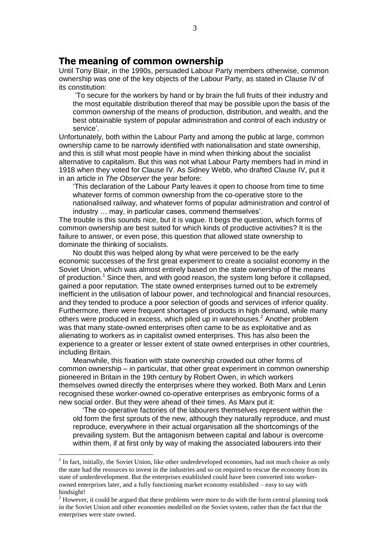## **The meaning of common ownership**

Until Tony Blair, in the 1990s, persuaded Labour Party members otherwise, common ownership was one of the key objects of the Labour Party, as stated in Clause IV of its constitution:

'To secure for the workers by hand or by brain the full fruits of their industry and the most equitable distribution thereof that may be possible upon the basis of the common ownership of the means of production, distribution, and wealth, and the best obtainable system of popular administration and control of each industry or service'.

Unfortunately, both within the Labour Party and among the public at large, common ownership came to be narrowly identified with nationalisation and state ownership, and this is still what most people have in mind when thinking about the socialist alternative to capitalism. But this was not what Labour Party members had in mind in 1918 when they voted for Clause IV. As Sidney Webb, who drafted Clause IV, put it in an article in *The Observer* the year before:

'This declaration of the Labour Party leaves it open to choose from time to time whatever forms of common ownership from the co-operative store to the nationalised railway, and whatever forms of popular administration and control of industry … may, in particular cases, commend themselves'.

The trouble is this sounds nice, but it is vague. It begs the question, which forms of common ownership are best suited for which kinds of productive activities? It is the failure to answer, or even pose, this question that allowed state ownership to dominate the thinking of socialists.

No doubt this was helped along by what were perceived to be the early economic successes of the first great experiment to create a socialist economy in the Soviet Union, which was almost entirely based on the state ownership of the means of production.<sup>1</sup> Since then, and with good reason, the system long before it collapsed, gained a poor reputation. The state owned enterprises turned out to be extremely inefficient in the utilisation of labour power, and technological and financial resources, and they tended to produce a poor selection of goods and services of inferior quality. Furthermore, there were frequent shortages of products in high demand, while many others were produced in excess, which piled up in warehouses. <sup>2</sup> Another problem was that many state-owned enterprises often came to be as exploitative and as alienating to workers as in capitalist owned enterprises. This has also been the experience to a greater or lesser extent of state owned enterprises in other countries, including Britain.

Meanwhile, this fixation with state ownership crowded out other forms of common ownership – in particular, that other great experiment in common ownership pioneered in Britain in the 19th century by Robert Owen, in which workers themselves owned directly the enterprises where they worked. Both Marx and Lenin recognised these worker-owned co-operative enterprises as embryonic forms of a new social order. But they were ahead of their times. As Marx put it:

'The co-operative factories of the labourers themselves represent within the old form the first sprouts of the new, although they naturally reproduce, and must reproduce, everywhere in their actual organisation all the shortcomings of the prevailing system. But the antagonism between capital and labour is overcome within them, if at first only by way of making the associated labourers into their

1

 $<sup>1</sup>$  In fact, initially, the Soviet Union, like other underdeveloped economies, had not much choice as only</sup> the state had the resources to invest in the industries and so on required to rescue the economy from its state of underdevelopment. But the enterprises established could have been converted into workerowned enterprises later, and a fully functioning market economy established – easy to say with hindsight!

<sup>&</sup>lt;sup>2</sup> However, it could be argued that these problems were more to do with the form central planning took in the Soviet Union and other economies modelled on the Soviet system, rather than the fact that the enterprises were state owned.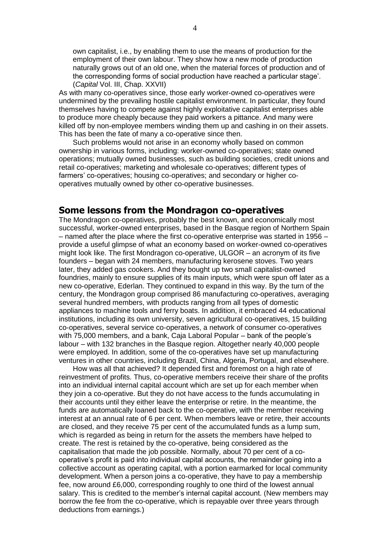own capitalist, i.e., by enabling them to use the means of production for the employment of their own labour. They show how a new mode of production naturally grows out of an old one, when the material forces of production and of the corresponding forms of social production have reached a particular stage'. (*Capital* Vol. III, Chap. XXVII)

As with many co-operatives since, those early worker-owned co-operatives were undermined by the prevailing hostile capitalist environment. In particular, they found themselves having to compete against highly exploitative capitalist enterprises able to produce more cheaply because they paid workers a pittance. And many were killed off by non-employee members winding them up and cashing in on their assets. This has been the fate of many a co-operative since then.

Such problems would not arise in an economy wholly based on common ownership in various forms, including: worker-owned co-operatives; state owned operations; mutually owned businesses, such as building societies, credit unions and retail co-operatives; marketing and wholesale co-operatives; different types of farmers' co-operatives; housing co-operatives; and secondary or higher cooperatives mutually owned by other co-operative businesses.

## **Some lessons from the Mondragon co-operatives**

The Mondragon co-operatives, probably the best known, and economically most successful, worker-owned enterprises, based in the Basque region of Northern Spain – named after the place where the first co-operative enterprise was started in 1956 – provide a useful glimpse of what an economy based on worker-owned co-operatives might look like. The first Mondragon co-operative, ULGOR – an acronym of its five founders – began with 24 members, manufacturing kerosene stoves. Two years later, they added gas cookers. And they bought up two small capitalist-owned foundries, mainly to ensure supplies of its main inputs, which were spun off later as a new co-operative, Ederlan. They continued to expand in this way. By the turn of the century, the Mondragon group comprised 86 manufacturing co-operatives, averaging several hundred members, with products ranging from all types of domestic appliances to machine tools and ferry boats. In addition, it embraced 44 educational institutions, including its own university, seven agricultural co-operatives, 15 building co-operatives, several service co-operatives, a network of consumer co-operatives with 75,000 members, and a bank, Caja Laboral Popular – bank of the people's labour – with 132 branches in the Basque region. Altogether nearly 40,000 people were employed. In addition, some of the co-operatives have set up manufacturing ventures in other countries, including Brazil, China, Algeria, Portugal, and elsewhere.

How was all that achieved? It depended first and foremost on a high rate of reinvestment of profits. Thus, co-operative members receive their share of the profits into an individual internal capital account which are set up for each member when they join a co-operative. But they do not have access to the funds accumulating in their accounts until they either leave the enterprise or retire. In the meantime, the funds are automatically loaned back to the co-operative, with the member receiving interest at an annual rate of 6 per cent. When members leave or retire, their accounts are closed, and they receive 75 per cent of the accumulated funds as a lump sum, which is regarded as being in return for the assets the members have helped to create. The rest is retained by the co-operative, being considered as the capitalisation that made the job possible. Normally, about 70 per cent of a cooperative's profit is paid into individual capital accounts, the remainder going into a collective account as operating capital, with a portion earmarked for local community development. When a person joins a co-operative, they have to pay a membership fee, now around £6,000, corresponding roughly to one third of the lowest annual salary. This is credited to the member's internal capital account. (New members may borrow the fee from the co-operative, which is repayable over three years through deductions from earnings.)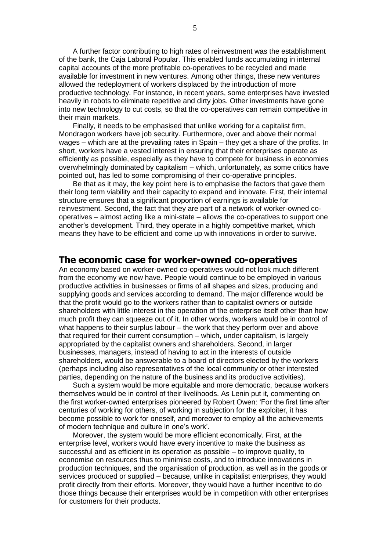A further factor contributing to high rates of reinvestment was the establishment of the bank, the Caja Laboral Popular. This enabled funds accumulating in internal capital accounts of the more profitable co-operatives to be recycled and made available for investment in new ventures. Among other things, these new ventures allowed the redeployment of workers displaced by the introduction of more productive technology. For instance, in recent years, some enterprises have invested heavily in robots to eliminate repetitive and dirty jobs. Other investments have gone into new technology to cut costs, so that the co-operatives can remain competitive in their main markets.

Finally, it needs to be emphasised that unlike working for a capitalist firm, Mondragon workers have job security. Furthermore, over and above their normal wages – which are at the prevailing rates in Spain – they get a share of the profits. In short, workers have a vested interest in ensuring that their enterprises operate as efficiently as possible, especially as they have to compete for business in economies overwhelmingly dominated by capitalism – which, unfortunately, as some critics have pointed out, has led to some compromising of their co-operative principles.

Be that as it may, the key point here is to emphasise the factors that gave them their long term viability and their capacity to expand and innovate. First, their internal structure ensures that a significant proportion of earnings is available for reinvestment. Second, the fact that they are part of a network of worker-owned cooperatives – almost acting like a mini-state – allows the co-operatives to support one another's development. Third, they operate in a highly competitive market, which means they have to be efficient and come up with innovations in order to survive.

#### **The economic case for worker-owned co-operatives**

An economy based on worker-owned co-operatives would not look much different from the economy we now have. People would continue to be employed in various productive activities in businesses or firms of all shapes and sizes, producing and supplying goods and services according to demand. The major difference would be that the profit would go to the workers rather than to capitalist owners or outside shareholders with little interest in the operation of the enterprise itself other than how much profit they can squeeze out of it. In other words, workers would be in control of what happens to their surplus labour – the work that they perform over and above that required for their current consumption – which, under capitalism, is largely appropriated by the capitalist owners and shareholders. Second, in larger businesses, managers, instead of having to act in the interests of outside shareholders, would be answerable to a board of directors elected by the workers (perhaps including also representatives of the local community or other interested parties, depending on the nature of the business and its productive activities).

Such a system would be more equitable and more democratic, because workers themselves would be in control of their livelihoods. As Lenin put it, commenting on the first worker-owned enterprises pioneered by Robert Owen: 'For the first time after centuries of working for others, of working in subjection for the exploiter, it has become possible to work for oneself, and moreover to employ all the achievements of modern technique and culture in one's work'.

Moreover, the system would be more efficient economically. First, at the enterprise level, workers would have every incentive to make the business as successful and as efficient in its operation as possible – to improve quality, to economise on resources thus to minimise costs, and to introduce innovations in production techniques, and the organisation of production, as well as in the goods or services produced or supplied – because, unlike in capitalist enterprises, they would profit directly from their efforts. Moreover, they would have a further incentive to do those things because their enterprises would be in competition with other enterprises for customers for their products.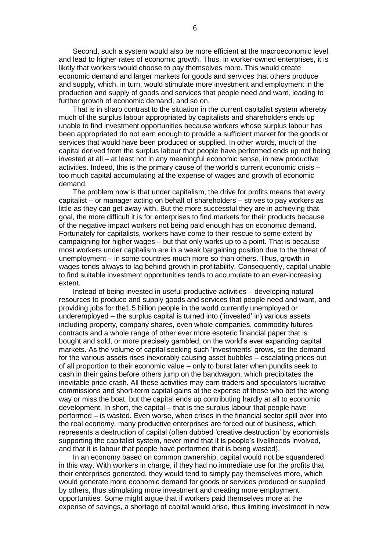Second, such a system would also be more efficient at the macroeconomic level, and lead to higher rates of economic growth. Thus, in worker-owned enterprises, it is likely that workers would choose to pay themselves more. This would create economic demand and larger markets for goods and services that others produce and supply, which, in turn, would stimulate more investment and employment in the production and supply of goods and services that people need and want, leading to further growth of economic demand, and so on.

That is in sharp contrast to the situation in the current capitalist system whereby much of the surplus labour appropriated by capitalists and shareholders ends up unable to find investment opportunities because workers whose surplus labour has been appropriated do not earn enough to provide a sufficient market for the goods or services that would have been produced or supplied. In other words, much of the capital derived from the surplus labour that people have performed ends up not being invested at all – at least not in any meaningful economic sense, in new productive activities. Indeed, this is the primary cause of the world's current economic crisis – too much capital accumulating at the expense of wages and growth of economic demand.

The problem now is that under capitalism, the drive for profits means that every capitalist – or manager acting on behalf of shareholders – strives to pay workers as little as they can get away with. But the more successful they are in achieving that goal, the more difficult it is for enterprises to find markets for their products because of the negative impact workers not being paid enough has on economic demand. Fortunately for capitalists, workers have come to their rescue to some extent by campaigning for higher wages – but that only works up to a point. That is because most workers under capitalism are in a weak bargaining position due to the threat of unemployment – in some countries much more so than others. Thus, growth in wages tends always to lag behind growth in profitability. Consequently, capital unable to find suitable investment opportunities tends to accumulate to an ever-increasing extent.

Instead of being invested in useful productive activities – developing natural resources to produce and supply goods and services that people need and want, and providing jobs for the1.5 billion people in the world currently unemployed or underemployed – the surplus capital is turned into ('invested' in) various assets including property, company shares, even whole companies, commodity futures contracts and a whole range of other ever more esoteric financial paper that is bought and sold, or more precisely gambled, on the world's ever expanding capital markets. As the volume of capital seeking such 'investments' grows, so the demand for the various assets rises inexorably causing asset bubbles – escalating prices out of all proportion to their economic value – only to burst later when pundits seek to cash in their gains before others jump on the bandwagon, which precipitates the inevitable price crash. All these activities may earn traders and speculators lucrative commissions and short-term capital gains at the expense of those who bet the wrong way or miss the boat, but the capital ends up contributing hardly at all to economic development. In short, the capital – that is the surplus labour that people have performed – is wasted. Even worse, when crises in the financial sector spill over into the real economy, many productive enterprises are forced out of business, which represents a destruction of capital (often dubbed 'creative destruction' by economists supporting the capitalist system, never mind that it is people's livelihoods involved, and that it is labour that people have performed that is being wasted).

In an economy based on common ownership, capital would not be squandered in this way. With workers in charge, if they had no immediate use for the profits that their enterprises generated, they would tend to simply pay themselves more, which would generate more economic demand for goods or services produced or supplied by others, thus stimulating more investment and creating more employment opportunities. Some might argue that if workers paid themselves more at the expense of savings, a shortage of capital would arise, thus limiting investment in new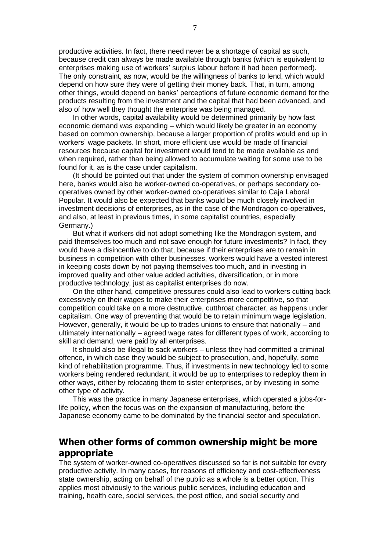productive activities. In fact, there need never be a shortage of capital as such, because credit can always be made available through banks (which is equivalent to enterprises making use of workers' surplus labour before it had been performed). The only constraint, as now, would be the willingness of banks to lend, which would depend on how sure they were of getting their money back. That, in turn, among other things, would depend on banks' perceptions of future economic demand for the products resulting from the investment and the capital that had been advanced, and also of how well they thought the enterprise was being managed.

In other words, capital availability would be determined primarily by how fast economic demand was expanding – which would likely be greater in an economy based on common ownership, because a larger proportion of profits would end up in workers' wage packets. In short, more efficient use would be made of financial resources because capital for investment would tend to be made available as and when required, rather than being allowed to accumulate waiting for some use to be found for it, as is the case under capitalism.

(It should be pointed out that under the system of common ownership envisaged here, banks would also be worker-owned co-operatives, or perhaps secondary cooperatives owned by other worker-owned co-operatives similar to Caja Laboral Popular. It would also be expected that banks would be much closely involved in investment decisions of enterprises, as in the case of the Mondragon co-operatives, and also, at least in previous times, in some capitalist countries, especially Germany.)

But what if workers did not adopt something like the Mondragon system, and paid themselves too much and not save enough for future investments? In fact, they would have a disincentive to do that, because if their enterprises are to remain in business in competition with other businesses, workers would have a vested interest in keeping costs down by not paying themselves too much, and in investing in improved quality and other value added activities, diversification, or in more productive technology, just as capitalist enterprises do now.

On the other hand, competitive pressures could also lead to workers cutting back excessively on their wages to make their enterprises more competitive, so that competition could take on a more destructive, cutthroat character, as happens under capitalism. One way of preventing that would be to retain minimum wage legislation. However, generally, it would be up to trades unions to ensure that nationally – and ultimately internationally – agreed wage rates for different types of work, according to skill and demand, were paid by all enterprises.

It should also be illegal to sack workers – unless they had committed a criminal offence, in which case they would be subject to prosecution, and, hopefully, some kind of rehabilitation programme. Thus, if investments in new technology led to some workers being rendered redundant, it would be up to enterprises to redeploy them in other ways, either by relocating them to sister enterprises, or by investing in some other type of activity.

This was the practice in many Japanese enterprises, which operated a jobs-forlife policy, when the focus was on the expansion of manufacturing, before the Japanese economy came to be dominated by the financial sector and speculation.

# **When other forms of common ownership might be more appropriate**

The system of worker-owned co-operatives discussed so far is not suitable for every productive activity. In many cases, for reasons of efficiency and cost-effectiveness state ownership, acting on behalf of the public as a whole is a better option. This applies most obviously to the various public services, including education and training, health care, social services, the post office, and social security and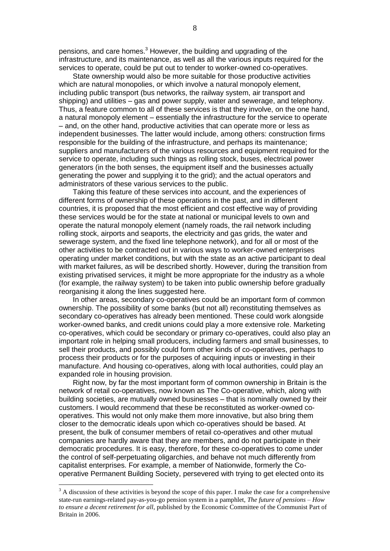pensions, and care homes.<sup>3</sup> However, the building and upgrading of the infrastructure, and its maintenance, as well as all the various inputs required for the services to operate, could be put out to tender to worker-owned co-operatives.

State ownership would also be more suitable for those productive activities which are natural monopolies, or which involve a natural monopoly element, including public transport (bus networks, the railway system, air transport and shipping) and utilities – gas and power supply, water and sewerage, and telephony. Thus, a feature common to all of these services is that they involve, on the one hand, a natural monopoly element – essentially the infrastructure for the service to operate – and, on the other hand, productive activities that can operate more or less as independent businesses. The latter would include, among others: construction firms responsible for the building of the infrastructure, and perhaps its maintenance; suppliers and manufacturers of the various resources and equipment required for the service to operate, including such things as rolling stock, buses, electrical power generators (in the both senses, the equipment itself and the businesses actually generating the power and supplying it to the grid); and the actual operators and administrators of these various services to the public.

Taking this feature of these services into account, and the experiences of different forms of ownership of these operations in the past, and in different countries, it is proposed that the most efficient and cost effective way of providing these services would be for the state at national or municipal levels to own and operate the natural monopoly element (namely roads, the rail network including rolling stock, airports and seaports, the electricity and gas grids, the water and sewerage system, and the fixed line telephone network), and for all or most of the other activities to be contracted out in various ways to worker-owned enterprises operating under market conditions, but with the state as an active participant to deal with market failures, as will be described shortly. However, during the transition from existing privatised services, it might be more appropriate for the industry as a whole (for example, the railway system) to be taken into public ownership before gradually reorganising it along the lines suggested here.

In other areas, secondary co-operatives could be an important form of common ownership. The possibility of some banks (but not all) reconstituting themselves as secondary co-operatives has already been mentioned. These could work alongside worker-owned banks, and credit unions could play a more extensive role. Marketing co-operatives, which could be secondary or primary co-operatives, could also play an important role in helping small producers, including farmers and small businesses, to sell their products, and possibly could form other kinds of co-operatives, perhaps to process their products or for the purposes of acquiring inputs or investing in their manufacture. And housing co-operatives, along with local authorities, could play an expanded role in housing provision.

Right now, by far the most important form of common ownership in Britain is the network of retail co-operatives, now known as The Co-operative, which, along with building societies, are mutually owned businesses – that is nominally owned by their customers. I would recommend that these be reconstituted as worker-owned cooperatives. This would not only make them more innovative, but also bring them closer to the democratic ideals upon which co-operatives should be based. At present, the bulk of consumer members of retail co-operatives and other mutual companies are hardly aware that they are members, and do not participate in their democratic procedures. It is easy, therefore, for these co-operatives to come under the control of self-perpetuating oligarchies, and behave not much differently from capitalist enterprises. For example, a member of Nationwide, formerly the Cooperative Permanent Building Society, persevered with trying to get elected onto its

<u>.</u>

 $3$  A discussion of these activities is beyond the scope of this paper. I make the case for a comprehensive state-run earnings-related pay-as-you-go pension system in a pamphlet, *The future of pensions – How to ensure a decent retirement for all*, published by the Economic Committee of the Communist Part of Britain in 2006.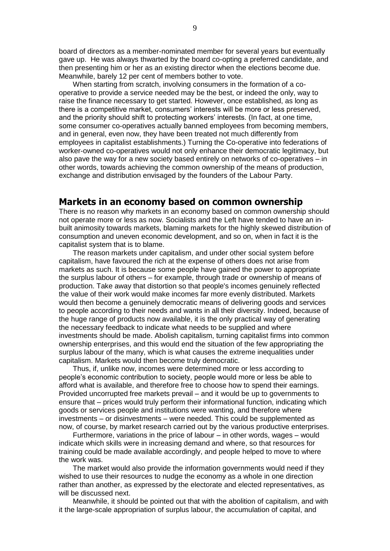board of directors as a member-nominated member for several years but eventually gave up. He was always thwarted by the board co-opting a preferred candidate, and then presenting him or her as an existing director when the elections become due. Meanwhile, barely 12 per cent of members bother to vote.

When starting from scratch, involving consumers in the formation of a cooperative to provide a service needed may be the best, or indeed the only, way to raise the finance necessary to get started. However, once established, as long as there is a competitive market, consumers' interests will be more or less preserved, and the priority should shift to protecting workers' interests. (In fact, at one time, some consumer co-operatives actually banned employees from becoming members, and in general, even now, they have been treated not much differently from employees in capitalist establishments.) Turning the Co-operative into federations of worker-owned co-operatives would not only enhance their democratic legitimacy, but also pave the way for a new society based entirely on networks of co-operatives – in other words, towards achieving the common ownership of the means of production, exchange and distribution envisaged by the founders of the Labour Party.

## **Markets in an economy based on common ownership**

There is no reason why markets in an economy based on common ownership should not operate more or less as now. Socialists and the Left have tended to have an inbuilt animosity towards markets, blaming markets for the highly skewed distribution of consumption and uneven economic development, and so on, when in fact it is the capitalist system that is to blame.

The reason markets under capitalism, and under other social system before capitalism, have favoured the rich at the expense of others does not arise from markets as such. It is because some people have gained the power to appropriate the surplus labour of others – for example, through trade or ownership of means of production. Take away that distortion so that people's incomes genuinely reflected the value of their work would make incomes far more evenly distributed. Markets would then become a genuinely democratic means of delivering goods and services to people according to their needs and wants in all their diversity. Indeed, because of the huge range of products now available, it is the only practical way of generating the necessary feedback to indicate what needs to be supplied and where investments should be made. Abolish capitalism, turning capitalist firms into common ownership enterprises, and this would end the situation of the few appropriating the surplus labour of the many, which is what causes the extreme inequalities under capitalism. Markets would then become truly democratic.

Thus, if, unlike now, incomes were determined more or less according to people's economic contribution to society, people would more or less be able to afford what is available, and therefore free to choose how to spend their earnings. Provided uncorrupted free markets prevail – and it would be up to governments to ensure that – prices would truly perform their informational function, indicating which goods or services people and institutions were wanting, and therefore where investments – or disinvestments – were needed. This could be supplemented as now, of course, by market research carried out by the various productive enterprises.

Furthermore, variations in the price of labour – in other words, wages – would indicate which skills were in increasing demand and where, so that resources for training could be made available accordingly, and people helped to move to where the work was.

The market would also provide the information governments would need if they wished to use their resources to nudge the economy as a whole in one direction rather than another, as expressed by the electorate and elected representatives, as will be discussed next.

Meanwhile, it should be pointed out that with the abolition of capitalism, and with it the large-scale appropriation of surplus labour, the accumulation of capital, and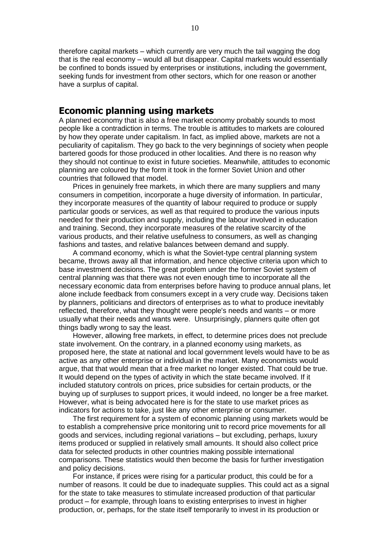therefore capital markets – which currently are very much the tail wagging the dog that is the real economy – would all but disappear. Capital markets would essentially be confined to bonds issued by enterprises or institutions, including the government, seeking funds for investment from other sectors, which for one reason or another have a surplus of capital.

## **Economic planning using markets**

A planned economy that is also a free market economy probably sounds to most people like a contradiction in terms. The trouble is attitudes to markets are coloured by how they operate under capitalism. In fact, as implied above, markets are not a peculiarity of capitalism. They go back to the very beginnings of society when people bartered goods for those produced in other localities. And there is no reason why they should not continue to exist in future societies. Meanwhile, attitudes to economic planning are coloured by the form it took in the former Soviet Union and other countries that followed that model.

Prices in genuinely free markets, in which there are many suppliers and many consumers in competition, incorporate a huge diversity of information. In particular, they incorporate measures of the quantity of labour required to produce or supply particular goods or services, as well as that required to produce the various inputs needed for their production and supply, including the labour involved in education and training. Second, they incorporate measures of the relative scarcity of the various products, and their relative usefulness to consumers, as well as changing fashions and tastes, and relative balances between demand and supply.

A command economy, which is what the Soviet-type central planning system became, throws away all that information, and hence objective criteria upon which to base investment decisions. The great problem under the former Soviet system of central planning was that there was not even enough time to incorporate all the necessary economic data from enterprises before having to produce annual plans, let alone include feedback from consumers except in a very crude way. Decisions taken by planners, politicians and directors of enterprises as to what to produce inevitably reflected, therefore, what they thought were people's needs and wants – or more usually what their needs and wants were. Unsurprisingly, planners quite often got things badly wrong to say the least.

However, allowing free markets, in effect, to determine prices does not preclude state involvement. On the contrary, in a planned economy using markets, as proposed here, the state at national and local government levels would have to be as active as any other enterprise or individual in the market. Many economists would argue, that that would mean that a free market no longer existed. That could be true. It would depend on the types of activity in which the state became involved. If it included statutory controls on prices, price subsidies for certain products, or the buying up of surpluses to support prices, it would indeed, no longer be a free market. However, what is being advocated here is for the state to use market prices as indicators for actions to take, just like any other enterprise or consumer.

The first requirement for a system of economic planning using markets would be to establish a comprehensive price monitoring unit to record price movements for all goods and services, including regional variations – but excluding, perhaps, luxury items produced or supplied in relatively small amounts. It should also collect price data for selected products in other countries making possible international comparisons. These statistics would then become the basis for further investigation and policy decisions.

For instance, if prices were rising for a particular product, this could be for a number of reasons. It could be due to inadequate supplies. This could act as a signal for the state to take measures to stimulate increased production of that particular product – for example, through loans to existing enterprises to invest in higher production, or, perhaps, for the state itself temporarily to invest in its production or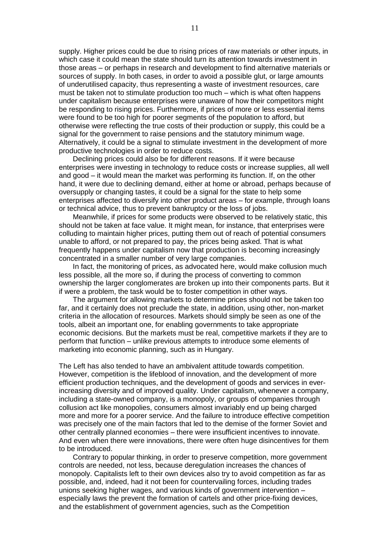supply. Higher prices could be due to rising prices of raw materials or other inputs, in which case it could mean the state should turn its attention towards investment in those areas – or perhaps in research and development to find alternative materials or sources of supply. In both cases, in order to avoid a possible glut, or large amounts of underutilised capacity, thus representing a waste of investment resources, care must be taken not to stimulate production too much – which is what often happens under capitalism because enterprises were unaware of how their competitors might be responding to rising prices. Furthermore, if prices of more or less essential items were found to be too high for poorer segments of the population to afford, but otherwise were reflecting the true costs of their production or supply, this could be a signal for the government to raise pensions and the statutory minimum wage. Alternatively, it could be a signal to stimulate investment in the development of more productive technologies in order to reduce costs.

Declining prices could also be for different reasons. If it were because enterprises were investing in technology to reduce costs or increase supplies, all well and good – it would mean the market was performing its function. If, on the other hand, it were due to declining demand, either at home or abroad, perhaps because of oversupply or changing tastes, it could be a signal for the state to help some enterprises affected to diversify into other product areas – for example, through loans or technical advice, thus to prevent bankruptcy or the loss of jobs.

Meanwhile, if prices for some products were observed to be relatively static, this should not be taken at face value. It might mean, for instance, that enterprises were colluding to maintain higher prices, putting them out of reach of potential consumers unable to afford, or not prepared to pay, the prices being asked. That is what frequently happens under capitalism now that production is becoming increasingly concentrated in a smaller number of very large companies.

In fact, the monitoring of prices, as advocated here, would make collusion much less possible, all the more so, if during the process of converting to common ownership the larger conglomerates are broken up into their components parts. But it if were a problem, the task would be to foster competition in other ways.

The argument for allowing markets to determine prices should not be taken too far, and it certainly does not preclude the state, in addition, using other, non-market criteria in the allocation of resources. Markets should simply be seen as one of the tools, albeit an important one, for enabling governments to take appropriate economic decisions. But the markets must be real, competitive markets if they are to perform that function – unlike previous attempts to introduce some elements of marketing into economic planning, such as in Hungary.

The Left has also tended to have an ambivalent attitude towards competition. However, competition is the lifeblood of innovation, and the development of more efficient production techniques, and the development of goods and services in everincreasing diversity and of improved quality. Under capitalism, whenever a company, including a state-owned company, is a monopoly, or groups of companies through collusion act like monopolies, consumers almost invariably end up being charged more and more for a poorer service. And the failure to introduce effective competition was precisely one of the main factors that led to the demise of the former Soviet and other centrally planned economies – there were insufficient incentives to innovate. And even when there were innovations, there were often huge disincentives for them to be introduced.

Contrary to popular thinking, in order to preserve competition, more government controls are needed, not less, because deregulation increases the chances of monopoly. Capitalists left to their own devices also try to avoid competition as far as possible, and, indeed, had it not been for countervailing forces, including trades unions seeking higher wages, and various kinds of government intervention – especially laws the prevent the formation of cartels and other price-fixing devices, and the establishment of government agencies, such as the Competition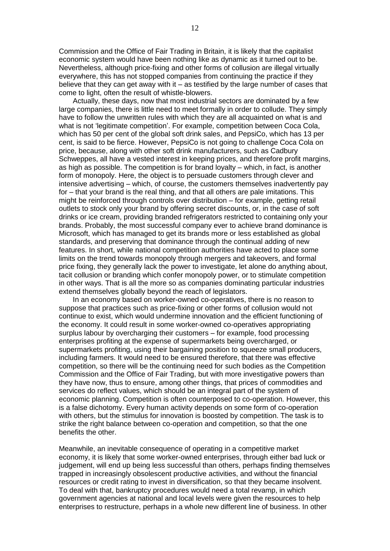Commission and the Office of Fair Trading in Britain, it is likely that the capitalist economic system would have been nothing like as dynamic as it turned out to be. Nevertheless, although price-fixing and other forms of collusion are illegal virtually everywhere, this has not stopped companies from continuing the practice if they believe that they can get away with it – as testified by the large number of cases that come to light, often the result of whistle-blowers.

Actually, these days, now that most industrial sectors are dominated by a few large companies, there is little need to meet formally in order to collude. They simply have to follow the unwritten rules with which they are all acquainted on what is and what is not 'legitimate competition'. For example, competition between Coca Cola, which has 50 per cent of the global soft drink sales, and PepsiCo, which has 13 per cent, is said to be fierce. However, PepsiCo is not going to challenge Coca Cola on price, because, along with other soft drink manufacturers, such as Cadbury Schweppes, all have a vested interest in keeping prices, and therefore profit margins, as high as possible. The competition is for brand loyalty – which, in fact, is another form of monopoly. Here, the object is to persuade customers through clever and intensive advertising – which, of course, the customers themselves inadvertently pay for – that your brand is the real thing, and that all others are pale imitations. This might be reinforced through controls over distribution – for example, getting retail outlets to stock only your brand by offering secret discounts, or, in the case of soft drinks or ice cream, providing branded refrigerators restricted to containing only your brands. Probably, the most successful company ever to achieve brand dominance is Microsoft, which has managed to get its brands more or less established as global standards, and preserving that dominance through the continual adding of new features. In short, while national competition authorities have acted to place some limits on the trend towards monopoly through mergers and takeovers, and formal price fixing, they generally lack the power to investigate, let alone do anything about, tacit collusion or branding which confer monopoly power, or to stimulate competition in other ways. That is all the more so as companies dominating particular industries extend themselves globally beyond the reach of legislators.

In an economy based on worker-owned co-operatives, there is no reason to suppose that practices such as price-fixing or other forms of collusion would not continue to exist, which would undermine innovation and the efficient functioning of the economy. It could result in some worker-owned co-operatives appropriating surplus labour by overcharging their customers – for example, food processing enterprises profiting at the expense of supermarkets being overcharged, or supermarkets profiting, using their bargaining position to squeeze small producers, including farmers. It would need to be ensured therefore, that there was effective competition, so there will be the continuing need for such bodies as the Competition Commission and the Office of Fair Trading, but with more investigative powers than they have now, thus to ensure, among other things, that prices of commodities and services do reflect values, which should be an integral part of the system of economic planning. Competition is often counterposed to co-operation. However, this is a false dichotomy. Every human activity depends on some form of co-operation with others, but the stimulus for innovation is boosted by competition. The task is to strike the right balance between co-operation and competition, so that the one benefits the other.

Meanwhile, an inevitable consequence of operating in a competitive market economy, it is likely that some worker-owned enterprises, through either bad luck or judgement, will end up being less successful than others, perhaps finding themselves trapped in increasingly obsolescent productive activities, and without the financial resources or credit rating to invest in diversification, so that they became insolvent. To deal with that, bankruptcy procedures would need a total revamp, in which government agencies at national and local levels were given the resources to help enterprises to restructure, perhaps in a whole new different line of business. In other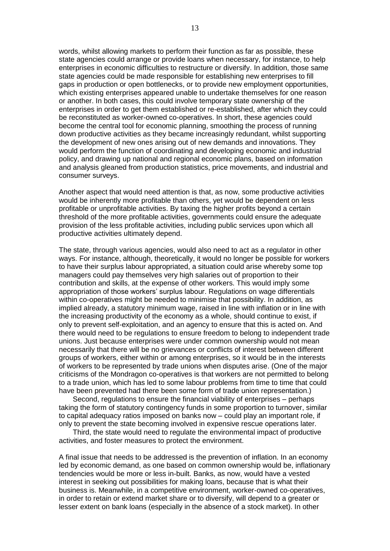words, whilst allowing markets to perform their function as far as possible, these state agencies could arrange or provide loans when necessary, for instance, to help enterprises in economic difficulties to restructure or diversify. In addition, those same state agencies could be made responsible for establishing new enterprises to fill gaps in production or open bottlenecks, or to provide new employment opportunities, which existing enterprises appeared unable to undertake themselves for one reason or another. In both cases, this could involve temporary state ownership of the enterprises in order to get them established or re-established, after which they could be reconstituted as worker-owned co-operatives. In short, these agencies could become the central tool for economic planning, smoothing the process of running down productive activities as they became increasingly redundant, whilst supporting the development of new ones arising out of new demands and innovations. They would perform the function of coordinating and developing economic and industrial policy, and drawing up national and regional economic plans, based on information and analysis gleaned from production statistics, price movements, and industrial and consumer surveys.

Another aspect that would need attention is that, as now, some productive activities would be inherently more profitable than others, yet would be dependent on less profitable or unprofitable activities. By taxing the higher profits beyond a certain threshold of the more profitable activities, governments could ensure the adequate provision of the less profitable activities, including public services upon which all productive activities ultimately depend.

The state, through various agencies, would also need to act as a regulator in other ways. For instance, although, theoretically, it would no longer be possible for workers to have their surplus labour appropriated, a situation could arise whereby some top managers could pay themselves very high salaries out of proportion to their contribution and skills, at the expense of other workers. This would imply some appropriation of those workers' surplus labour. Regulations on wage differentials within co-operatives might be needed to minimise that possibility. In addition, as implied already, a statutory minimum wage, raised in line with inflation or in line with the increasing productivity of the economy as a whole, should continue to exist, if only to prevent self-exploitation, and an agency to ensure that this is acted on. And there would need to be regulations to ensure freedom to belong to independent trade unions. Just because enterprises were under common ownership would not mean necessarily that there will be no grievances or conflicts of interest between different groups of workers, either within or among enterprises, so it would be in the interests of workers to be represented by trade unions when disputes arise. (One of the major criticisms of the Mondragon co-operatives is that workers are not permitted to belong to a trade union, which has led to some labour problems from time to time that could have been prevented had there been some form of trade union representation.)

Second, regulations to ensure the financial viability of enterprises – perhaps taking the form of statutory contingency funds in some proportion to turnover, similar to capital adequacy ratios imposed on banks now – could play an important role, if only to prevent the state becoming involved in expensive rescue operations later.

Third, the state would need to regulate the environmental impact of productive activities, and foster measures to protect the environment.

A final issue that needs to be addressed is the prevention of inflation. In an economy led by economic demand, as one based on common ownership would be, inflationary tendencies would be more or less in-built. Banks, as now, would have a vested interest in seeking out possibilities for making loans, because that is what their business is. Meanwhile, in a competitive environment, worker-owned co-operatives, in order to retain or extend market share or to diversify, will depend to a greater or lesser extent on bank loans (especially in the absence of a stock market). In other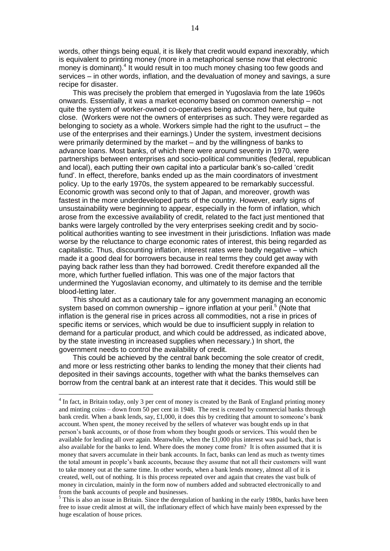words, other things being equal, it is likely that credit would expand inexorably, which is equivalent to printing money (more in a metaphorical sense now that electronic money is dominant).<sup>4</sup> It would result in too much money chasing too few goods and services – in other words, inflation, and the devaluation of money and savings, a sure recipe for disaster.

This was precisely the problem that emerged in Yugoslavia from the late 1960s onwards. Essentially, it was a market economy based on common ownership – not quite the system of worker-owned co-operatives being advocated here, but quite close. (Workers were not the owners of enterprises as such. They were regarded as belonging to society as a whole. Workers simple had the right to the usufruct – the use of the enterprises and their earnings.) Under the system, investment decisions were primarily determined by the market – and by the willingness of banks to advance loans. Most banks, of which there were around seventy in 1970, were partnerships between enterprises and socio-political communities (federal, republican and local), each putting their own capital into a particular bank's so-called 'credit fund'. In effect, therefore, banks ended up as the main coordinators of investment policy. Up to the early 1970s, the system appeared to be remarkably successful. Economic growth was second only to that of Japan, and moreover, growth was fastest in the more underdeveloped parts of the country. However, early signs of unsustainability were beginning to appear, especially in the form of inflation, which arose from the excessive availability of credit, related to the fact just mentioned that banks were largely controlled by the very enterprises seeking credit and by sociopolitical authorities wanting to see investment in their jurisdictions. Inflation was made worse by the reluctance to charge economic rates of interest, this being regarded as capitalistic. Thus, discounting inflation, interest rates were badly negative – which made it a good deal for borrowers because in real terms they could get away with paying back rather less than they had borrowed. Credit therefore expanded all the more, which further fuelled inflation. This was one of the major factors that undermined the Yugoslavian economy, and ultimately to its demise and the terrible blood-letting later.

This should act as a cautionary tale for any government managing an economic system based on common ownership – ignore inflation at your peril.<sup>5</sup> (Note that inflation is the general rise in prices across all commodities, not a rise in prices of specific items or services, which would be due to insufficient supply in relation to demand for a particular product, and which could be addressed, as indicated above, by the state investing in increased supplies when necessary.) In short, the government needs to control the availability of credit.

This could be achieved by the central bank becoming the sole creator of credit, and more or less restricting other banks to lending the money that their clients had deposited in their savings accounts, together with what the banks themselves can borrow from the central bank at an interest rate that it decides. This would still be

<u>.</u>

<sup>&</sup>lt;sup>4</sup> In fact, in Britain today, only 3 per cent of money is created by the Bank of England printing money and minting coins – down from 50 per cent in 1948. The rest is created by commercial banks through bank credit. When a bank lends, say, £1,000, it does this by crediting that amount to someone's bank account. When spent, the money received by the sellers of whatever was bought ends up in that person's bank accounts, or of those from whom they bought goods or services. This would then be available for lending all over again. Meanwhile, when the £1,000 plus interest was paid back, that is also available for the banks to lend. Where does the money come from? It is often assumed that it is money that savers accumulate in their bank accounts. In fact, banks can lend as much as twenty times the total amount in people's bank accounts, because they assume that not all their customers will want to take money out at the same time. In other words, when a bank lends money, almost all of it is created, well, out of nothing. It is this process repeated over and again that creates the vast bulk of money in circulation, mainly in the form now of numbers added and subtracted electronically to and from the bank accounts of people and businesses.

 $<sup>5</sup>$  This is also an issue in Britain. Since the deregulation of banking in the early 1980s, banks have been</sup> free to issue credit almost at will, the inflationary effect of which have mainly been expressed by the huge escalation of house prices.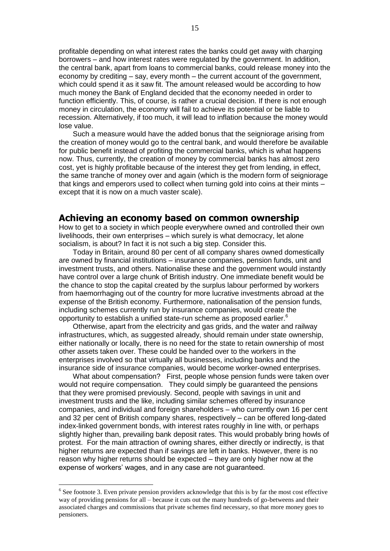profitable depending on what interest rates the banks could get away with charging borrowers – and how interest rates were regulated by the government. In addition, the central bank, apart from loans to commercial banks, could release money into the economy by crediting – say, every month – the current account of the government, which could spend it as it saw fit. The amount released would be according to how much money the Bank of England decided that the economy needed in order to function efficiently. This, of course, is rather a crucial decision. If there is not enough money in circulation, the economy will fail to achieve its potential or be liable to recession. Alternatively, if too much, it will lead to inflation because the money would lose value.

Such a measure would have the added bonus that the seigniorage arising from the creation of money would go to the central bank, and would therefore be available for public benefit instead of profiting the commercial banks, which is what happens now. Thus, currently, the creation of money by commercial banks has almost zero cost, yet is highly profitable because of the interest they get from lending, in effect, the same tranche of money over and again (which is the modern form of seigniorage that kings and emperors used to collect when turning gold into coins at their mints – except that it is now on a much vaster scale).

#### **Achieving an economy based on common ownership**

How to get to a society in which people everywhere owned and controlled their own livelihoods, their own enterprises – which surely is what democracy, let alone socialism, is about? In fact it is not such a big step. Consider this.

Today in Britain, around 80 per cent of all company shares owned domestically are owned by financial institutions – insurance companies, pension funds, unit and investment trusts, and others. Nationalise these and the government would instantly have control over a large chunk of British industry. One immediate benefit would be the chance to stop the capital created by the surplus labour performed by workers from haemorrhaging out of the country for more lucrative investments abroad at the expense of the British economy. Furthermore, nationalisation of the pension funds, including schemes currently run by insurance companies, would create the opportunity to establish a unified state-run scheme as proposed earlier.<sup>6</sup>

Otherwise, apart from the electricity and gas grids, and the water and railway infrastructures, which, as suggested already, should remain under state ownership, either nationally or locally, there is no need for the state to retain ownership of most other assets taken over. These could be handed over to the workers in the enterprises involved so that virtually all businesses, including banks and the insurance side of insurance companies, would become worker-owned enterprises.

What about compensation? First, people whose pension funds were taken over would not require compensation. They could simply be guaranteed the pensions that they were promised previously. Second, people with savings in unit and investment trusts and the like, including similar schemes offered by insurance companies, and individual and foreign shareholders – who currently own 16 per cent and 32 per cent of British company shares, respectively – can be offered long-dated index-linked government bonds, with interest rates roughly in line with, or perhaps slightly higher than, prevailing bank deposit rates. This would probably bring howls of protest. For the main attraction of owning shares, either directly or indirectly, is that higher returns are expected than if savings are left in banks. However, there is no reason why higher returns should be expected – they are only higher now at the expense of workers' wages, and in any case are not guaranteed.

<u>.</u>

<sup>&</sup>lt;sup>6</sup> See footnote 3. Even private pension providers acknowledge that this is by far the most cost effective way of providing pensions for all – because it cuts out the many hundreds of go-betweens and their associated charges and commissions that private schemes find necessary, so that more money goes to pensioners.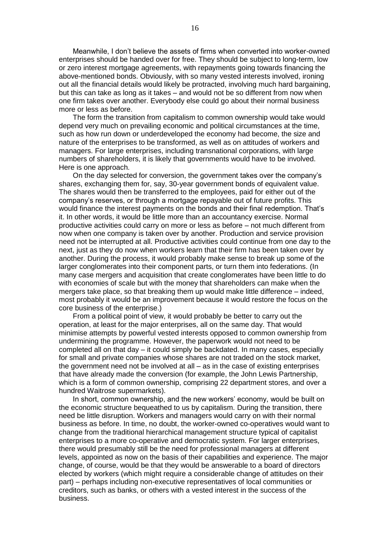Meanwhile, I don't believe the assets of firms when converted into worker-owned enterprises should be handed over for free. They should be subject to long-term, low or zero interest mortgage agreements, with repayments going towards financing the above-mentioned bonds. Obviously, with so many vested interests involved, ironing out all the financial details would likely be protracted, involving much hard bargaining, but this can take as long as it takes – and would not be so different from now when one firm takes over another. Everybody else could go about their normal business more or less as before.

The form the transition from capitalism to common ownership would take would depend very much on prevailing economic and political circumstances at the time, such as how run down or underdeveloped the economy had become, the size and nature of the enterprises to be transformed, as well as on attitudes of workers and managers. For large enterprises, including transnational corporations, with large numbers of shareholders, it is likely that governments would have to be involved. Here is one approach.

On the day selected for conversion, the government takes over the company's shares, exchanging them for, say, 30-year government bonds of equivalent value. The shares would then be transferred to the employees, paid for either out of the company's reserves, or through a mortgage repayable out of future profits. This would finance the interest payments on the bonds and their final redemption. That's it. In other words, it would be little more than an accountancy exercise. Normal productive activities could carry on more or less as before – not much different from now when one company is taken over by another. Production and service provision need not be interrupted at all. Productive activities could continue from one day to the next, just as they do now when workers learn that their firm has been taken over by another. During the process, it would probably make sense to break up some of the larger conglomerates into their component parts, or turn them into federations. (In many case mergers and acquisition that create conglomerates have been little to do with economies of scale but with the money that shareholders can make when the mergers take place, so that breaking them up would make little difference – indeed, most probably it would be an improvement because it would restore the focus on the core business of the enterprise.)

From a political point of view, it would probably be better to carry out the operation, at least for the major enterprises, all on the same day. That would minimise attempts by powerful vested interests opposed to common ownership from undermining the programme. However, the paperwork would not need to be completed all on that day – it could simply be backdated. In many cases, especially for small and private companies whose shares are not traded on the stock market, the government need not be involved at all – as in the case of existing enterprises that have already made the conversion (for example, the John Lewis Partnership, which is a form of common ownership, comprising 22 department stores, and over a hundred Waitrose supermarkets).

In short, common ownership, and the new workers' economy, would be built on the economic structure bequeathed to us by capitalism. During the transition, there need be little disruption. Workers and managers would carry on with their normal business as before. In time, no doubt, the worker-owned co-operatives would want to change from the traditional hierarchical management structure typical of capitalist enterprises to a more co-operative and democratic system. For larger enterprises, there would presumably still be the need for professional managers at different levels, appointed as now on the basis of their capabilities and experience. The major change, of course, would be that they would be answerable to a board of directors elected by workers (which might require a considerable change of attitudes on their part) – perhaps including non-executive representatives of local communities or creditors, such as banks, or others with a vested interest in the success of the business.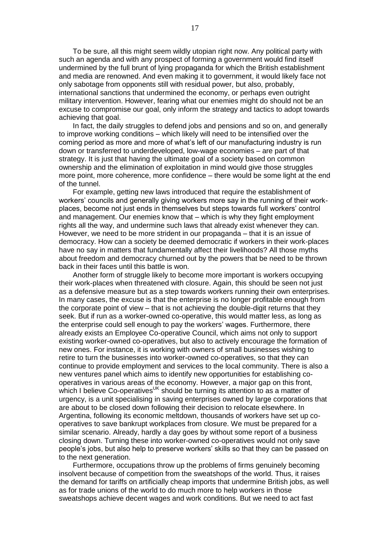To be sure, all this might seem wildly utopian right now. Any political party with such an agenda and with any prospect of forming a government would find itself undermined by the full brunt of lying propaganda for which the British establishment and media are renowned. And even making it to government, it would likely face not only sabotage from opponents still with residual power, but also, probably, international sanctions that undermined the economy, or perhaps even outright military intervention. However, fearing what our enemies might do should not be an excuse to compromise our goal, only inform the strategy and tactics to adopt towards achieving that goal.

In fact, the daily struggles to defend jobs and pensions and so on, and generally to improve working conditions – which likely will need to be intensified over the coming period as more and more of what's left of our manufacturing industry is run down or transferred to underdeveloped, low-wage economies – are part of that strategy. It is just that having the ultimate goal of a society based on common ownership and the elimination of exploitation in mind would give those struggles more point, more coherence, more confidence – there would be some light at the end of the tunnel.

For example, getting new laws introduced that require the establishment of workers' councils and generally giving workers more say in the running of their workplaces, become not just ends in themselves but steps towards full workers' control and management. Our enemies know that – which is why they fight employment rights all the way, and undermine such laws that already exist whenever they can. However, we need to be more strident in our propaganda – that it is an issue of democracy. How can a society be deemed democratic if workers in their work-places have no say in matters that fundamentally affect their livelihoods? All those myths about freedom and democracy churned out by the powers that be need to be thrown back in their faces until this battle is won.

Another form of struggle likely to become more important is workers occupying their work-places when threatened with closure. Again, this should be seen not just as a defensive measure but as a step towards workers running their own enterprises. In many cases, the excuse is that the enterprise is no longer profitable enough from the corporate point of view – that is not achieving the double-digit returns that they seek. But if run as a worker-owned co-operative, this would matter less, as long as the enterprise could sell enough to pay the workers' wages. Furthermore, there already exists an Employee Co-operative Council, which aims not only to support existing worker-owned co-operatives, but also to actively encourage the formation of new ones. For instance, it is working with owners of small businesses wishing to retire to turn the businesses into worker-owned co-operatives, so that they can continue to provide employment and services to the local community. There is also a new ventures panel which aims to identify new opportunities for establishing cooperatives in various areas of the economy. However, a major gap on this front, which I believe Co-operatives<sup>UK</sup> should be turning its attention to as a matter of urgency, is a unit specialising in saving enterprises owned by large corporations that are about to be closed down following their decision to relocate elsewhere. In Argentina, following its economic meltdown, thousands of workers have set up cooperatives to save bankrupt workplaces from closure. We must be prepared for a similar scenario. Already, hardly a day goes by without some report of a business closing down. Turning these into worker-owned co-operatives would not only save people's jobs, but also help to preserve workers' skills so that they can be passed on to the next generation.

Furthermore, occupations throw up the problems of firms genuinely becoming insolvent because of competition from the sweatshops of the world. Thus, it raises the demand for tariffs on artificially cheap imports that undermine British jobs, as well as for trade unions of the world to do much more to help workers in those sweatshops achieve decent wages and work conditions. But we need to act fast